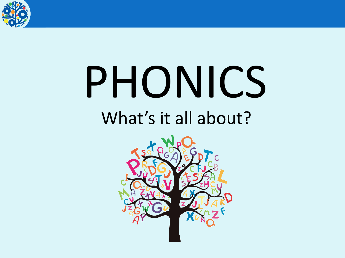

## PHONICS What's it all about?

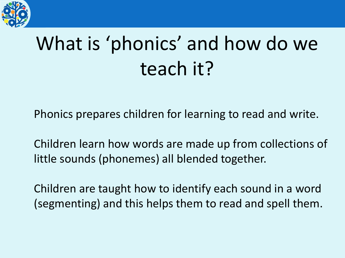

## What is 'phonics' and how do we teach it?

Phonics prepares children for learning to read and write.

Children learn how words are made up from collections of little sounds (phonemes) all blended together.

Children are taught how to identify each sound in a word (segmenting) and this helps them to read and spell them.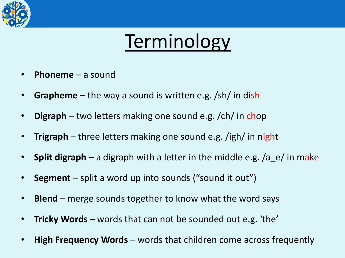

## Terminology

- **Phoneme** a sound
- **Grapheme** the way a sound is written e.g. /sh/ in dish
- **Digraph** two letters making one sound e.g. /ch/ in chop
- **Trigraph** three letters making one sound e.g. /igh/ in night
- **Split digraph** a digraph with a letter in the middle e.g. /a e/ in make
- **Segment** split a word up into sounds ("sound it out")
- **Blend** merge sounds together to know what the word says
- **Tricky Words**  words that can not be sounded out e.g. 'the'
- **High Frequency Words** words that children come across frequently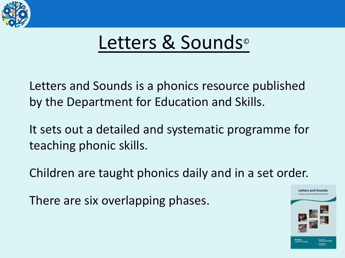

## Letters & Sounds<sup>®</sup>

Letters and Sounds is a phonics resource published by the Department for Education and Skills.

It sets out a detailed and systematic programme for teaching phonic skills.

Children are taught phonics daily and in a set order.

There are six overlapping phases.

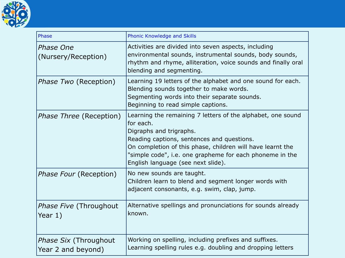

| Phase                                              | Phonic Knowledge and Skills                                                                                                                                                                                                                                                                                       |  |  |  |  |
|----------------------------------------------------|-------------------------------------------------------------------------------------------------------------------------------------------------------------------------------------------------------------------------------------------------------------------------------------------------------------------|--|--|--|--|
| Phase One<br>(Nursery/Reception)                   | Activities are divided into seven aspects, including<br>environmental sounds, instrumental sounds, body sounds,<br>rhythm and rhyme, alliteration, voice sounds and finally oral<br>blending and segmenting.                                                                                                      |  |  |  |  |
| <i>Phase Two</i> (Reception)                       | Learning 19 letters of the alphabet and one sound for each.<br>Blending sounds together to make words.<br>Segmenting words into their separate sounds.<br>Beginning to read simple captions.                                                                                                                      |  |  |  |  |
| <i>Phase Three</i> (Reception)                     | Learning the remaining 7 letters of the alphabet, one sound<br>for each.<br>Digraphs and trigraphs.<br>Reading captions, sentences and questions.<br>On completion of this phase, children will have learnt the<br>"simple code", i.e. one grapheme for each phoneme in the<br>English language (see next slide). |  |  |  |  |
| <i>Phase Four</i> (Reception)                      | No new sounds are taught.<br>Children learn to blend and segment longer words with<br>adjacent consonants, e.g. swim, clap, jump.                                                                                                                                                                                 |  |  |  |  |
| <i>Phase Five</i> (Throughout<br>Year 1)           | Alternative spellings and pronunciations for sounds already<br>known.                                                                                                                                                                                                                                             |  |  |  |  |
| <i>Phase Six (Throughout</i><br>Year 2 and beyond) | Working on spelling, including prefixes and suffixes.<br>Learning spelling rules e.g. doubling and dropping letters                                                                                                                                                                                               |  |  |  |  |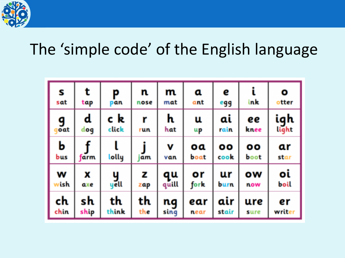

### The 'simple code' of the English language

| S         | t           | P         | n.        | m            | a          | e                        | ink                  | O                   |
|-----------|-------------|-----------|-----------|--------------|------------|--------------------------|----------------------|---------------------|
| sat       | tap         | pan       | nose      | mat          | ant        | egg                      |                      | otter               |
| g         | $\mathbf d$ | c k       | r         | $\mathbf{h}$ | u          | ai                       | ee                   | <b>igh</b><br>light |
| oat       | dog         | click     | run       | hat          | щp         | rain                     | knee                 |                     |
| Ь<br>bus  | farm.       | lolly     | <b>am</b> | v<br>van     | 0a<br>boat | $\bullet\bullet$<br>cook | $\mathbf{O}$<br>boot | ar<br>star          |
| w<br>rish | X<br>axe    | y<br>yell | z<br>zap  | qu<br>quill  | or<br>fork | ur<br>burn               | ow<br>now            | οί<br>boil          |
| ch        | sh          | th        | th        | ng           | ear        | air                      | ure                  | er                  |
| chin      | ship        | think     | the       | sing         | near       | stair                    | sure                 | writer              |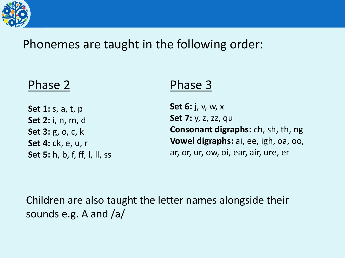

#### Phonemes are taught in the following order:

#### Phase 2

**Set 1:** s, a, t, p **Set 2:** i, n, m, d **Set 3:** g, o, c, k **Set 4:** ck, e, u, r **Set 5:** h, b, f, ff, l, ll, ss

#### Phase 3

**Set 6:** j, v, w, x **Set 7:** y, z, zz, qu **Consonant digraphs:** ch, sh, th, ng **Vowel digraphs:** ai, ee, igh, oa, oo, ar, or, ur, ow, oi, ear, air, ure, er

Children are also taught the letter names alongside their sounds e.g. A and /a/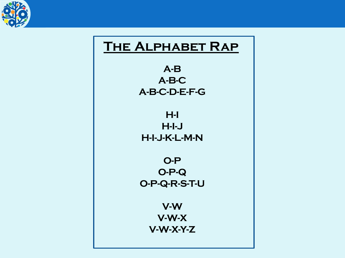

#### **The Alphabet Rap**

**A-B A-B-C A-B-C-D-E-F-G**

**H-I H-I-J H-I-J-K-L-M-N**

**O-P O-P-Q O-P-Q-R-S-T-U**

> **V-W V-W-X V-W-X-Y-Z**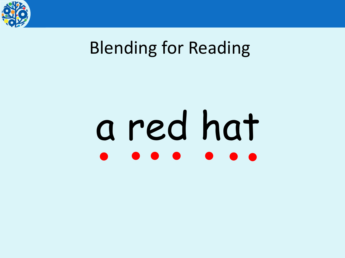

## Blending for Reading

# a red hat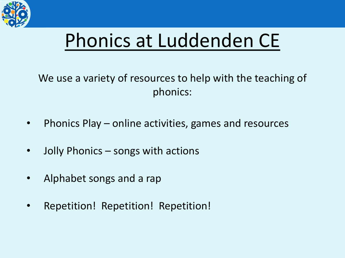

## Phonics at Luddenden CE

We use a variety of resources to help with the teaching of phonics:

- Phonics Play online activities, games and resources
- Jolly Phonics songs with actions
- Alphabet songs and a rap
- Repetition! Repetition! Repetition!